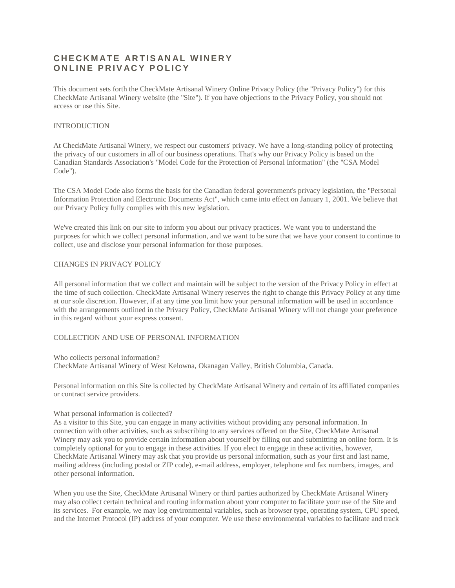# **C H E C K M AT E AR T I S AN AL W I N E R Y ONLINE PRIVACY POLICY**

This document sets forth the CheckMate Artisanal Winery Online Privacy Policy (the "Privacy Policy") for this CheckMate Artisanal Winery website (the "Site"). If you have objections to the Privacy Policy, you should not access or use this Site.

# INTRODUCTION

At CheckMate Artisanal Winery, we respect our customers' privacy. We have a long-standing policy of protecting the privacy of our customers in all of our business operations. That's why our Privacy Policy is based on the Canadian Standards Association's "Model Code for the Protection of Personal Information" (the "CSA Model Code").

The CSA Model Code also forms the basis for the Canadian federal government's privacy legislation, the "Personal Information Protection and Electronic Documents Act", which came into effect on January 1, 2001. We believe that our Privacy Policy fully complies with this new legislation.

We've created this link on our site to inform you about our privacy practices. We want you to understand the purposes for which we collect personal information, and we want to be sure that we have your consent to continue to collect, use and disclose your personal information for those purposes.

# CHANGES IN PRIVACY POLICY

All personal information that we collect and maintain will be subject to the version of the Privacy Policy in effect at the time of such collection. CheckMate Artisanal Winery reserves the right to change this Privacy Policy at any time at our sole discretion. However, if at any time you limit how your personal information will be used in accordance with the arrangements outlined in the Privacy Policy, CheckMate Artisanal Winery will not change your preference in this regard without your express consent.

# COLLECTION AND USE OF PERSONAL INFORMATION

Who collects personal information?

CheckMate Artisanal Winery of West Kelowna, Okanagan Valley, British Columbia, Canada.

Personal information on this Site is collected by CheckMate Artisanal Winery and certain of its affiliated companies or contract service providers.

### What personal information is collected?

As a visitor to this Site, you can engage in many activities without providing any personal information. In connection with other activities, such as subscribing to any services offered on the Site, CheckMate Artisanal Winery may ask you to provide certain information about yourself by filling out and submitting an online form. It is completely optional for you to engage in these activities. If you elect to engage in these activities, however, CheckMate Artisanal Winery may ask that you provide us personal information, such as your first and last name, mailing address (including postal or ZIP code), e-mail address, employer, telephone and fax numbers, images, and other personal information.

When you use the Site, CheckMate Artisanal Winery or third parties authorized by CheckMate Artisanal Winery may also collect certain technical and routing information about your computer to facilitate your use of the Site and its services. For example, we may log environmental variables, such as browser type, operating system, CPU speed, and the Internet Protocol (IP) address of your computer. We use these environmental variables to facilitate and track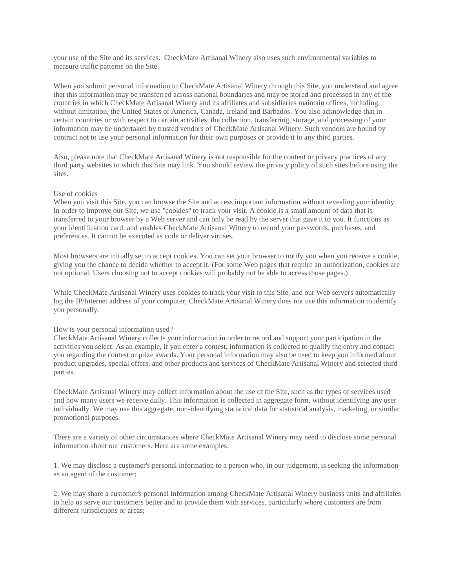your use of the Site and its services. CheckMate Artisanal Winery also uses such environmental variables to measure traffic patterns on the Site.

When you submit personal information to CheckMate Artisanal Winery through this Site, you understand and agree that this information may be transferred across national boundaries and may be stored and processed in any of the countries in which CheckMate Artisanal Winery and its affiliates and subsidiaries maintain offices, including, without limitation, the United States of America, Canada, Ireland and Barbados. You also acknowledge that in certain countries or with respect to certain activities, the collection, transferring, storage, and processing of your information may be undertaken by trusted vendors of CheckMate Artisanal Winery. Such vendors are bound by contract not to use your personal information for their own purposes or provide it to any third parties.

Also, please note that CheckMate Artisanal Winery is not responsible for the content or privacy practices of any third party websites to which this Site may link. You should review the privacy policy of such sites before using the sites.

# Use of cookies

When you visit this Site, you can browse the Site and access important information without revealing your identity. In order to improve our Site, we use "cookies" to track your visit. A cookie is a small amount of data that is transferred to your browser by a Web server and can only be read by the server that gave it to you. It functions as your identification card, and enables CheckMate Artisanal Winery to record your passwords, purchases, and preferences. It cannot be executed as code or deliver viruses.

Most browsers are initially set to accept cookies. You can set your browser to notify you when you receive a cookie, giving you the chance to decide whether to accept it. (For some Web pages that require an authorization, cookies are not optional. Users choosing not to accept cookies will probably not be able to access those pages.)

While CheckMate Artisanal Winery uses cookies to track your visit to this Site, and our Web servers automatically log the IP/Internet address of your computer, CheckMate Artisanal Winery does not use this information to identify you personally.

#### How is your personal information used?

CheckMate Artisanal Winery collects your information in order to record and support your participation in the activities you select. As an example, if you enter a contest, information is collected to qualify the entry and contact you regarding the contest or prize awards. Your personal information may also be used to keep you informed about product upgrades, special offers, and other products and services of CheckMate Artisanal Winery and selected third parties.

CheckMate Artisanal Winery may collect information about the use of the Site, such as the types of services used and how many users we receive daily. This information is collected in aggregate form, without identifying any user individually. We may use this aggregate, non-identifying statistical data for statistical analysis, marketing, or similar promotional purposes.

There are a variety of other circumstances where CheckMate Artisanal Winery may need to disclose some personal information about our customers. Here are some examples:

1. We may disclose a customer's personal information to a person who, in our judgement, is seeking the information as an agent of the customer;

2. We may share a customer's personal information among CheckMate Artisanal Winery business units and affiliates to help us serve our customers better and to provide them with services, particularly where customers are from different jurisdictions or areas;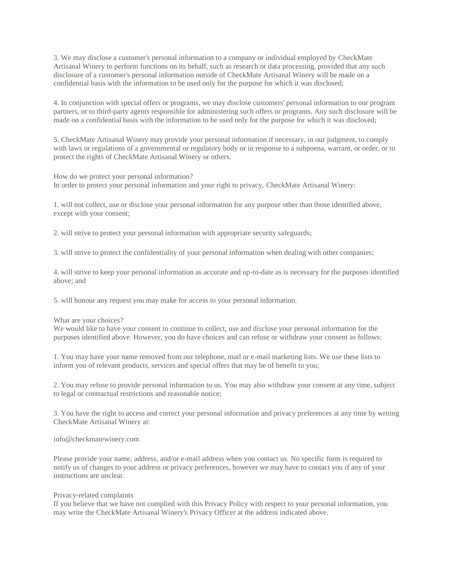3. We may disclose a customer's personal information to a company or individual employed by CheckMate Artisanal Winery to perform functions on its behalf, such as research or data processing, provided that any such disclosure of a customer's personal information outside of CheckMate Artisanal Winery will be made on a confidential basis with the information to be used only for the purpose for which it was disclosed;

4. In conjunction with special offers or programs, we may disclose customers' personal information to our program partners, or to third-party agents responsible for administering such offers or programs. Any such disclosure will be made on a confidential basis with the information to be used only for the purpose for which it was disclosed;

5. CheckMate Artisanal Winery may provide your personal information if necessary, in our judgment, to comply with laws or regulations of a governmental or regulatory body or in response to a subpoena, warrant, or order, or to protect the rights of CheckMate Artisanal Winery or others.

How do we protect your personal information? In order to protect your personal information and your right to privacy, CheckMate Artisanal Winery:

1. will not collect, use or disclose your personal information for any purpose other than those identified above, except with your consent;

2. will strive to protect your personal information with appropriate security safeguards;

3. will strive to protect the confidentiality of your personal information when dealing with other companies;

4. will strive to keep your personal information as accurate and up-to-date as is necessary for the purposes identified above; and

5. will honour any request you may make for access to your personal information.

### What are your choices?

We would like to have your consent to continue to collect, use and disclose your personal information for the purposes identified above. However, you do have choices and can refuse or withdraw your consent as follows:

1. You may have your name removed from our telephone, mail or e-mail marketing lists. We use these lists to inform you of relevant products, services and special offers that may be of benefit to you;

2. You may refuse to provide personal information to us. You may also withdraw your consent at any time, subject to legal or contractual restrictions and reasonable notice;

3. You have the right to access and correct your personal information and privacy preferences at any time by writing CheckMate Artisanal Winery at:

#### info@checkmatewinery.com

Please provide your name, address, and/or e-mail address when you contact us. No specific form is required to notify us of changes to your address or privacy preferences, however we may have to contact you if any of your instructions are unclear.

### Privacy-related complaints

If you believe that we have not complied with this Privacy Policy with respect to your personal information, you may write the CheckMate Artisanal Winery's Privacy Officer at the address indicated above.